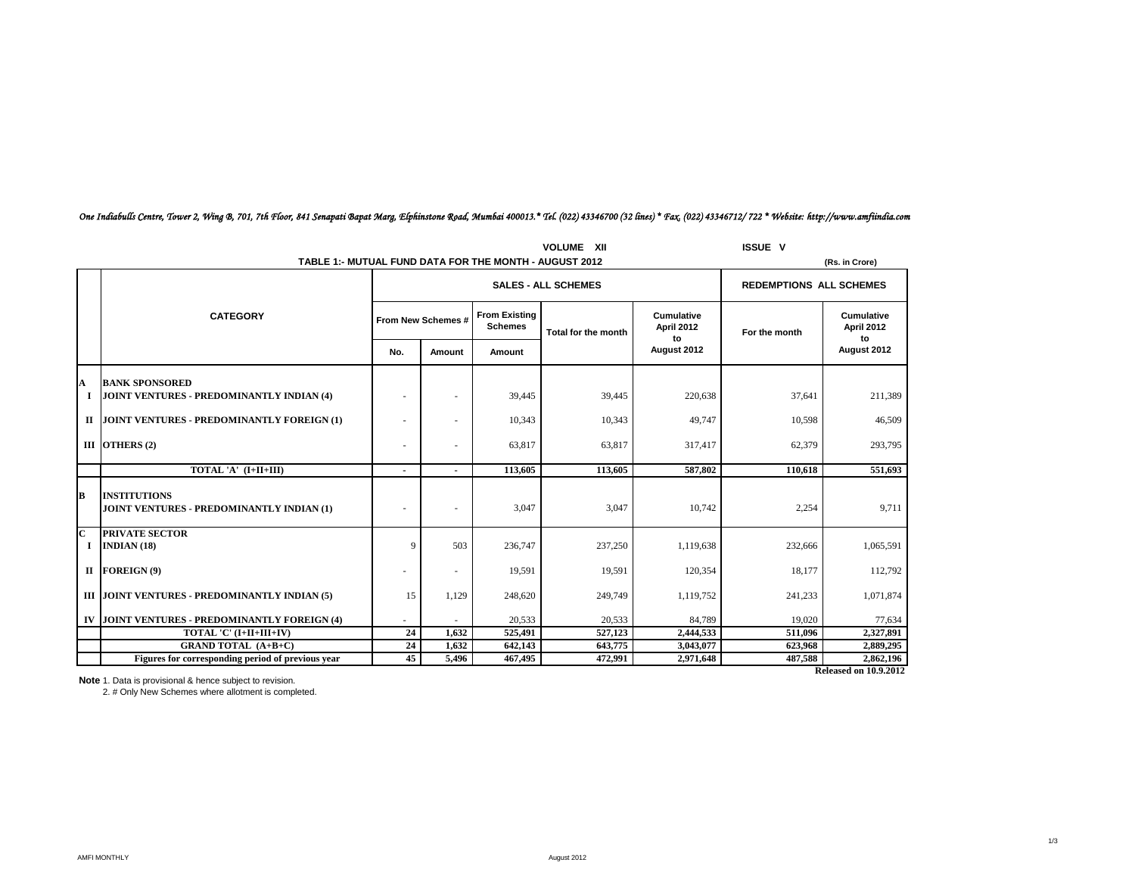| <b>VOLUME XII</b>            |                                                                  |                          |                    |                                        |                                |                                       | <b>ISSUE V</b> |                                       |
|------------------------------|------------------------------------------------------------------|--------------------------|--------------------|----------------------------------------|--------------------------------|---------------------------------------|----------------|---------------------------------------|
|                              | TABLE 1:- MUTUAL FUND DATA FOR THE MONTH - AUGUST 2012           |                          |                    |                                        |                                |                                       |                | (Rs. in Crore)                        |
|                              |                                                                  |                          |                    | <b>SALES - ALL SCHEMES</b>             | <b>REDEMPTIONS ALL SCHEMES</b> |                                       |                |                                       |
|                              | <b>CATEGORY</b>                                                  |                          | From New Schemes # | <b>From Existing</b><br><b>Schemes</b> | Total for the month            | <b>Cumulative</b><br>April 2012<br>to | For the month  | <b>Cumulative</b><br>April 2012<br>to |
|                              |                                                                  | No.                      | Amount             | Amount                                 |                                | August 2012                           |                | August 2012                           |
| A                            | <b>BANK SPONSORED</b>                                            |                          |                    |                                        |                                |                                       |                |                                       |
| 1                            | <b>JOINT VENTURES - PREDOMINANTLY INDIAN (4)</b>                 | ۰                        |                    | 39.445                                 | 39,445                         | 220,638                               | 37,641         | 211,389                               |
|                              | II JOINT VENTURES - PREDOMINANTLY FOREIGN (1)                    | ٠                        |                    | 10,343                                 | 10,343                         | 49,747                                | 10,598         | 46,509                                |
|                              | III OTHERS $(2)$                                                 | ٠                        |                    | 63,817                                 | 63,817                         | 317,417                               | 62,379         | 293,795                               |
|                              | TOTAL 'A' (I+II+III)                                             | $\overline{\phantom{a}}$ | $\blacksquare$     | 113,605                                | 113,605                        | 587,802                               | 110.618        | 551,693                               |
| B                            | <b>INSTITUTIONS</b><br>JOINT VENTURES - PREDOMINANTLY INDIAN (1) |                          |                    | 3,047                                  | 3,047                          | 10,742                                | 2,254          | 9,711                                 |
| $\overline{\mathbf{C}}$<br>1 | <b>PRIVATE SECTOR</b><br>INDIAN $(18)$                           | $\mathbf{Q}$             | 503                | 236,747                                | 237,250                        | 1,119,638                             | 232,666        | 1,065,591                             |
|                              | II FOREIGN $(9)$                                                 | ٠                        | ٠                  | 19,591                                 | 19,591                         | 120,354                               | 18,177         | 112,792                               |
|                              | III JOINT VENTURES - PREDOMINANTLY INDIAN (5)                    | 15                       | 1,129              | 248,620                                | 249,749                        | 1,119,752                             | 241,233        | 1,071,874                             |
|                              | IV JOINT VENTURES - PREDOMINANTLY FOREIGN (4)                    |                          |                    | 20,533                                 | 20,533                         | 84,789                                | 19,020         | 77,634                                |
|                              | TOTAL 'C' (I+II+III+IV)                                          | 24                       | 1.632              | 525,491                                | 527,123                        | 2,444,533                             | 511,096        | 2,327,891                             |
|                              | <b>GRAND TOTAL (A+B+C)</b>                                       | 24                       | 1,632              | 642,143                                | 643,775                        | 3,043,077                             | 623,968        | 2,889,295                             |
|                              | Figures for corresponding period of previous year                | 45                       | 5,496              | 467,495                                | 472,991                        | 2,971,648                             | 487,588        | 2,862,196                             |
|                              | <b>Released on 10.9.2012</b>                                     |                          |                    |                                        |                                |                                       |                |                                       |

## *One Indiabulls Centre, Tower 2, Wing B, 701, 7th Floor, 841 Senapati Bapat Marg, Elphinstone Road, Mumbai 400013.\* Tel. (022) 43346700 (32 lines) \* Fax. (022) 43346712/ 722 \* Website: http://www.amfiindia.com*

**Note** 1. Data is provisional & hence subject to revision.<br>2. # Only New Schemes where allotment is completed.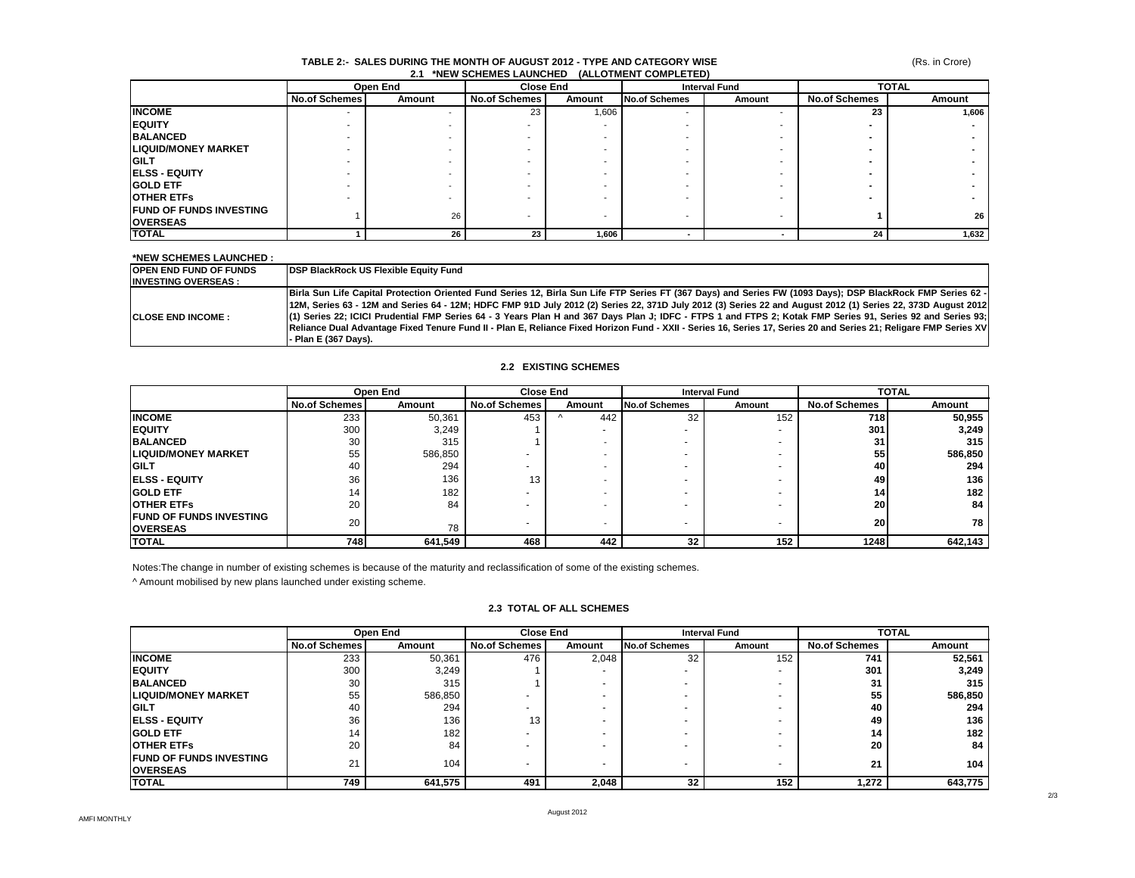## (Rs. in Crore)

#### **TABLE 2:- SALES DURING THE MONTH OF AUGUST 2012 - TYPE AND CATEGORY WISE 2.1 \*NEW SCHEMES LAUNCHED (ALLOTMENT COMPLETED)**

|                                 | Open End      |        | <b>Close End</b>     |        |               | <b>TOTAL</b><br><b>Interval Fund</b> |                      |        |  |
|---------------------------------|---------------|--------|----------------------|--------|---------------|--------------------------------------|----------------------|--------|--|
|                                 | No.of Schemes | Amount | <b>No.of Schemes</b> | Amount | No.of Schemes | Amount                               | <b>No.of Schemes</b> | Amount |  |
| <b>INCOME</b>                   | $\sim$        |        | 23                   | 1,606  |               |                                      | 23                   | 1,606  |  |
| <b>IEQUITY</b>                  |               |        |                      |        |               |                                      |                      |        |  |
| <b>BALANCED</b>                 |               |        |                      |        |               |                                      |                      |        |  |
| <b>LIQUID/MONEY MARKET</b>      |               |        |                      |        |               |                                      |                      |        |  |
| <b>IGILT</b>                    |               |        |                      |        |               |                                      |                      |        |  |
| <b>IELSS - EQUITY</b>           |               |        |                      |        |               |                                      |                      |        |  |
| <b>IGOLD ETF</b>                |               |        |                      |        |               |                                      |                      |        |  |
| <b>IOTHER ETFS</b>              |               |        |                      |        |               |                                      |                      |        |  |
| <b>IFUND OF FUNDS INVESTING</b> |               | 26     |                      |        |               |                                      |                      |        |  |
| <b>OVERSEAS</b>                 |               |        |                      |        |               | -                                    |                      | 26     |  |
| <b>TOTAL</b>                    |               | 26     | 23                   | 1,606  |               |                                      | 24                   | 1,632  |  |

## **\*NEW SCHEMES LAUNCHED :**

| <b>IOPEN END FUND OF FUNDS</b> | <b>IDSP BlackRock US Flexible Equity Fund</b>                                                                                                                       |
|--------------------------------|---------------------------------------------------------------------------------------------------------------------------------------------------------------------|
| <b>INVESTING OVERSEAS:</b>     |                                                                                                                                                                     |
|                                | Birla Sun Life Capital Protection Oriented Fund Series 12, Birla Sun Life FTP Series FT (367 Days) and Series FW (1093 Days); DSP BlackRock FMP Series 62 -         |
|                                | [12M, Series 63 - 12M and Series 64 - 12M; HDFC FMP 91D July 2012 (2) Series 22, 371D July 2012 (3) Series 22 and August 2012 (1) Series 22, 373D August 2012       |
| <b>ICLOSE END INCOME :</b>     | (1) Series 22; ICICI Prudential FMP Series 64 - 3 Years Plan H and 367 Days Plan J; IDFC - FTPS 1 and FTPS 2; Kotak FMP Series 91, Series 92 and Series 93;         |
|                                | IReliance Dual Advantage Fixed Tenure Fund II - Plan E. Reliance Fixed Horizon Fund - XXII - Series 16, Series 17, Series 20 and Series 21: Religare FMP Series XVI |
|                                | - Plan E (367 Davs).                                                                                                                                                |

## **2.2 EXISTING SCHEMES**

|                                 |                      | Open End |                      | <b>Close End</b>  |               | <b>Interval Fund</b> |                      | <b>TOTAL</b> |  |
|---------------------------------|----------------------|----------|----------------------|-------------------|---------------|----------------------|----------------------|--------------|--|
|                                 | <b>No.of Schemes</b> | Amount   | <b>No.of Schemes</b> | Amount            | No.of Schemes | Amount               | <b>No.of Schemes</b> | Amount       |  |
| <b>INCOME</b>                   | 233                  | 50,361   | 453                  | 442<br>$\sqrt{ }$ | 32            | 152                  | 718                  | 50,955       |  |
| <b>IEQUITY</b>                  | 300                  | 3.249    |                      |                   | -             |                      | 301                  | 3,249        |  |
| <b>BALANCED</b>                 | 30                   | 315      |                      |                   |               |                      | 31                   | 315          |  |
| <b>LIQUID/MONEY MARKET</b>      | 55                   | 586,850  |                      |                   |               |                      | 55                   | 586,850      |  |
| <b>IGILT</b>                    | 40                   | 294      |                      |                   |               |                      | 40                   | 294          |  |
| <b>IELSS - EQUITY</b>           | 36                   | 136      | 13.                  |                   |               |                      | 49                   | 136          |  |
| <b>GOLD ETF</b>                 | 14                   | 182      |                      |                   |               |                      | 14 <sub>1</sub>      | 182          |  |
| <b>OTHER ETFS</b>               | 20                   | 84       |                      |                   |               |                      | <b>201</b>           | 84           |  |
| <b>IFUND OF FUNDS INVESTING</b> | 20                   |          |                      |                   |               |                      | 20                   | 78           |  |
| <b>IOVERSEAS</b>                |                      | 78       |                      |                   |               |                      |                      |              |  |
| <b>TOTAL</b>                    | 748I                 | 641,549  | 468                  | 442               | 32            | 152                  | 1248                 | 642,143      |  |

Notes:The change in number of existing schemes is because of the maturity and reclassification of some of the existing schemes.

^ Amount mobilised by new plans launched under existing scheme.

## **2.3 TOTAL OF ALL SCHEMES**

|                                 |                      | Open End |                      | <b>Close End</b> | <b>Interval Fund</b> |        | <b>TOTAL</b>         |         |
|---------------------------------|----------------------|----------|----------------------|------------------|----------------------|--------|----------------------|---------|
|                                 | <b>No.of Schemes</b> | Amount   | <b>No.of Schemes</b> | Amount           | No.of Schemes        | Amount | <b>No.of Schemes</b> | Amount  |
| <b>INCOME</b>                   | 233                  | 50,361   | 476                  | 2,048            | 32                   | 152    | 741                  | 52,561  |
| <b>IEQUITY</b>                  | 300                  | 3,249    |                      |                  |                      |        | 301                  | 3,249   |
| <b>BALANCED</b>                 | 30                   | 315      |                      |                  |                      |        | 31                   | 315     |
| <b>LIQUID/MONEY MARKET</b>      | 55                   | 586,850  |                      |                  |                      |        | 55                   | 586,850 |
| <b>IGILT</b>                    | 40                   | 294      |                      |                  |                      |        | 40                   | 294     |
| <b>IELSS - EQUITY</b>           | 36                   | 136      | 13                   |                  |                      |        | 49                   | 136     |
| <b>GOLD ETF</b>                 | 14                   | 182      |                      |                  |                      |        | 14                   | 182     |
| <b>IOTHER ETFS</b>              | 20                   | 84       |                      |                  |                      |        | 20                   | 84      |
| <b>IFUND OF FUNDS INVESTING</b> | 21                   | 104      |                      |                  |                      |        | 21                   | 104     |
| <b>IOVERSEAS</b>                |                      |          |                      |                  |                      |        |                      |         |
| <b>TOTAL</b>                    | 749                  | 641,575  | 491                  | 2,048            | 32                   | 152    | 1,272                | 643,775 |